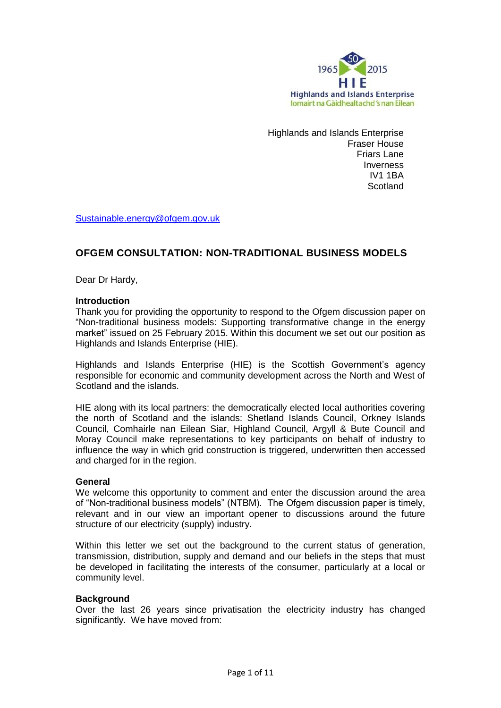

Highlands and Islands Enterprise Fraser House Friars Lane Inverness IV1 1BA **Scotland** 

[Sustainable.energy@ofgem.gov.uk](mailto:Sustainable.energy@ofgem.gov.uk)

### **OFGEM CONSULTATION: NON-TRADITIONAL BUSINESS MODELS**

Dear Dr Hardy,

#### **Introduction**

Thank you for providing the opportunity to respond to the Ofgem discussion paper on "Non-traditional business models: Supporting transformative change in the energy market" issued on 25 February 2015. Within this document we set out our position as Highlands and Islands Enterprise (HIE).

Highlands and Islands Enterprise (HIE) is the Scottish Government's agency responsible for economic and community development across the North and West of Scotland and the islands.

HIE along with its local partners: the democratically elected local authorities covering the north of Scotland and the islands: Shetland Islands Council, Orkney Islands Council, Comhairle nan Eilean Siar, Highland Council, Argyll & Bute Council and Moray Council make representations to key participants on behalf of industry to influence the way in which grid construction is triggered, underwritten then accessed and charged for in the region.

#### **General**

We welcome this opportunity to comment and enter the discussion around the area of "Non-traditional business models" (NTBM). The Ofgem discussion paper is timely, relevant and in our view an important opener to discussions around the future structure of our electricity (supply) industry.

Within this letter we set out the background to the current status of generation, transmission, distribution, supply and demand and our beliefs in the steps that must be developed in facilitating the interests of the consumer, particularly at a local or community level.

#### **Background**

Over the last 26 years since privatisation the electricity industry has changed significantly. We have moved from: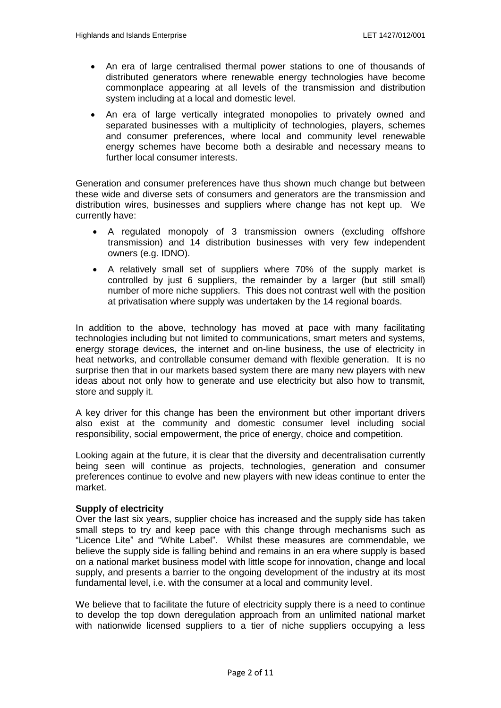- An era of large centralised thermal power stations to one of thousands of distributed generators where renewable energy technologies have become commonplace appearing at all levels of the transmission and distribution system including at a local and domestic level.
- An era of large vertically integrated monopolies to privately owned and separated businesses with a multiplicity of technologies, players, schemes and consumer preferences, where local and community level renewable energy schemes have become both a desirable and necessary means to further local consumer interests.

Generation and consumer preferences have thus shown much change but between these wide and diverse sets of consumers and generators are the transmission and distribution wires, businesses and suppliers where change has not kept up. We currently have:

- A regulated monopoly of 3 transmission owners (excluding offshore transmission) and 14 distribution businesses with very few independent owners (e.g. IDNO).
- A relatively small set of suppliers where 70% of the supply market is controlled by just 6 suppliers, the remainder by a larger (but still small) number of more niche suppliers. This does not contrast well with the position at privatisation where supply was undertaken by the 14 regional boards.

In addition to the above, technology has moved at pace with many facilitating technologies including but not limited to communications, smart meters and systems, energy storage devices, the internet and on-line business, the use of electricity in heat networks, and controllable consumer demand with flexible generation. It is no surprise then that in our markets based system there are many new players with new ideas about not only how to generate and use electricity but also how to transmit, store and supply it.

A key driver for this change has been the environment but other important drivers also exist at the community and domestic consumer level including social responsibility, social empowerment, the price of energy, choice and competition.

Looking again at the future, it is clear that the diversity and decentralisation currently being seen will continue as projects, technologies, generation and consumer preferences continue to evolve and new players with new ideas continue to enter the market.

#### **Supply of electricity**

Over the last six years, supplier choice has increased and the supply side has taken small steps to try and keep pace with this change through mechanisms such as "Licence Lite" and "White Label". Whilst these measures are commendable, we believe the supply side is falling behind and remains in an era where supply is based on a national market business model with little scope for innovation, change and local supply, and presents a barrier to the ongoing development of the industry at its most fundamental level, i.e. with the consumer at a local and community level.

We believe that to facilitate the future of electricity supply there is a need to continue to develop the top down deregulation approach from an unlimited national market with nationwide licensed suppliers to a tier of niche suppliers occupying a less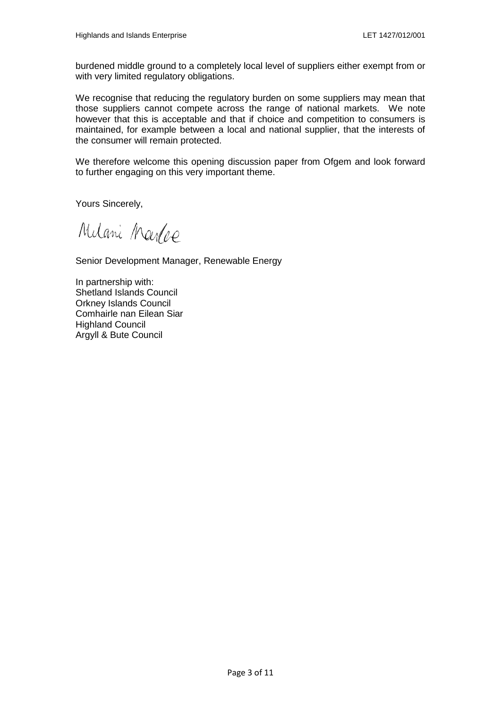burdened middle ground to a completely local level of suppliers either exempt from or with very limited regulatory obligations.

We recognise that reducing the regulatory burden on some suppliers may mean that those suppliers cannot compete across the range of national markets. We note however that this is acceptable and that if choice and competition to consumers is maintained, for example between a local and national supplier, that the interests of the consumer will remain protected.

We therefore welcome this opening discussion paper from Ofgem and look forward to further engaging on this very important theme.

Yours Sincerely,

Milani Marrie

Senior Development Manager, Renewable Energy

In partnership with: Shetland Islands Council Orkney Islands Council Comhairle nan Eilean Siar Highland Council Argyll & Bute Council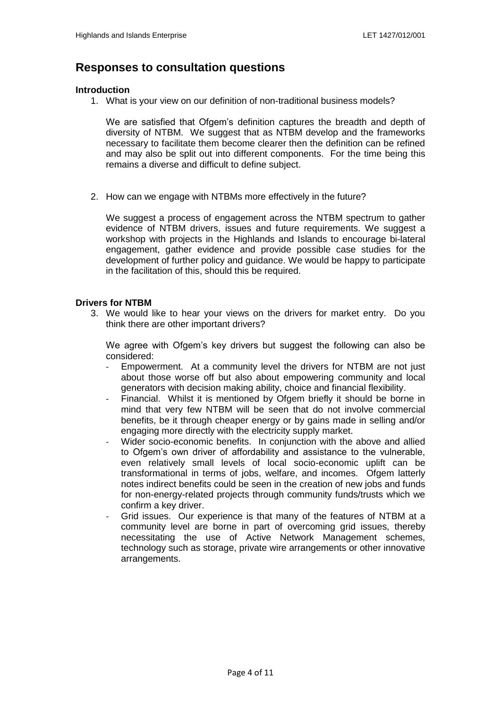## **Responses to consultation questions**

#### **Introduction**

1. What is your view on our definition of non-traditional business models?

We are satisfied that Ofgem's definition captures the breadth and depth of diversity of NTBM. We suggest that as NTBM develop and the frameworks necessary to facilitate them become clearer then the definition can be refined and may also be split out into different components. For the time being this remains a diverse and difficult to define subject.

2. How can we engage with NTBMs more effectively in the future?

We suggest a process of engagement across the NTBM spectrum to gather evidence of NTBM drivers, issues and future requirements. We suggest a workshop with projects in the Highlands and Islands to encourage bi-lateral engagement, gather evidence and provide possible case studies for the development of further policy and guidance. We would be happy to participate in the facilitation of this, should this be required.

#### **Drivers for NTBM**

3. We would like to hear your views on the drivers for market entry. Do you think there are other important drivers?

We agree with Ofgem's key drivers but suggest the following can also be considered:

- Empowerment. At a community level the drivers for NTBM are not just about those worse off but also about empowering community and local generators with decision making ability, choice and financial flexibility.
- Financial. Whilst it is mentioned by Ofgem briefly it should be borne in mind that very few NTBM will be seen that do not involve commercial benefits, be it through cheaper energy or by gains made in selling and/or engaging more directly with the electricity supply market.
- Wider socio-economic benefits. In conjunction with the above and allied to Ofgem's own driver of affordability and assistance to the vulnerable, even relatively small levels of local socio-economic uplift can be transformational in terms of jobs, welfare, and incomes. Ofgem latterly notes indirect benefits could be seen in the creation of new jobs and funds for non-energy-related projects through community funds/trusts which we confirm a key driver.
- Grid issues. Our experience is that many of the features of NTBM at a community level are borne in part of overcoming grid issues, thereby necessitating the use of Active Network Management schemes, technology such as storage, private wire arrangements or other innovative arrangements.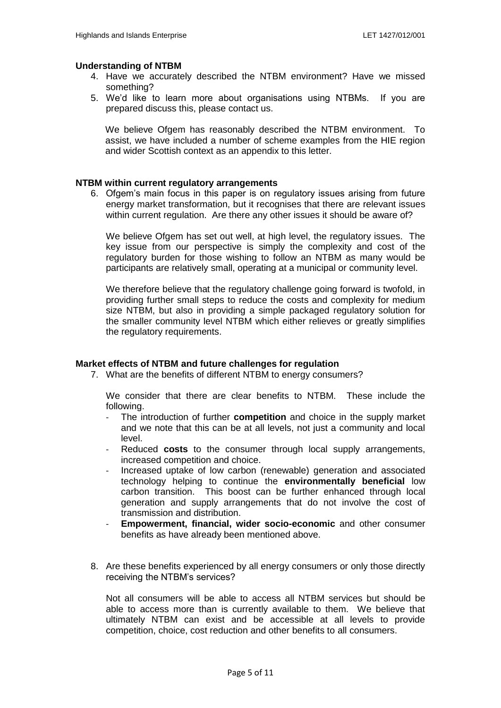#### **Understanding of NTBM**

- 4. Have we accurately described the NTBM environment? Have we missed something?
- 5. We'd like to learn more about organisations using NTBMs. If you are prepared discuss this, please contact us.

We believe Ofgem has reasonably described the NTBM environment. To assist, we have included a number of scheme examples from the HIE region and wider Scottish context as an appendix to this letter.

#### **NTBM within current regulatory arrangements**

6. Ofgem's main focus in this paper is on regulatory issues arising from future energy market transformation, but it recognises that there are relevant issues within current regulation. Are there any other issues it should be aware of?

We believe Ofgem has set out well, at high level, the regulatory issues. The key issue from our perspective is simply the complexity and cost of the regulatory burden for those wishing to follow an NTBM as many would be participants are relatively small, operating at a municipal or community level.

We therefore believe that the regulatory challenge going forward is twofold, in providing further small steps to reduce the costs and complexity for medium size NTBM, but also in providing a simple packaged regulatory solution for the smaller community level NTBM which either relieves or greatly simplifies the regulatory requirements.

#### **Market effects of NTBM and future challenges for regulation**

7. What are the benefits of different NTBM to energy consumers?

We consider that there are clear benefits to NTBM. These include the following.

- The introduction of further **competition** and choice in the supply market and we note that this can be at all levels, not just a community and local level.
- Reduced **costs** to the consumer through local supply arrangements, increased competition and choice.
- Increased uptake of low carbon (renewable) generation and associated technology helping to continue the **environmentally beneficial** low carbon transition. This boost can be further enhanced through local generation and supply arrangements that do not involve the cost of transmission and distribution.
- **Empowerment, financial, wider socio-economic** and other consumer benefits as have already been mentioned above.
- 8. Are these benefits experienced by all energy consumers or only those directly receiving the NTBM's services?

Not all consumers will be able to access all NTBM services but should be able to access more than is currently available to them. We believe that ultimately NTBM can exist and be accessible at all levels to provide competition, choice, cost reduction and other benefits to all consumers.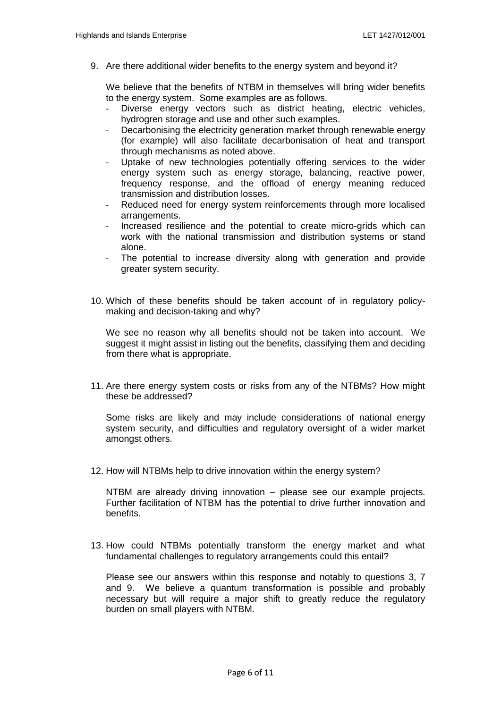9. Are there additional wider benefits to the energy system and beyond it?

We believe that the benefits of NTBM in themselves will bring wider benefits to the energy system. Some examples are as follows.

- Diverse energy vectors such as district heating, electric vehicles, hydrogren storage and use and other such examples.
- Decarbonising the electricity generation market through renewable energy (for example) will also facilitate decarbonisation of heat and transport through mechanisms as noted above.
- Uptake of new technologies potentially offering services to the wider energy system such as energy storage, balancing, reactive power, frequency response, and the offload of energy meaning reduced transmission and distribution losses.
- Reduced need for energy system reinforcements through more localised arrangements.
- Increased resilience and the potential to create micro-grids which can work with the national transmission and distribution systems or stand alone.
- The potential to increase diversity along with generation and provide greater system security.
- 10. Which of these benefits should be taken account of in regulatory policymaking and decision-taking and why?

We see no reason why all benefits should not be taken into account. We suggest it might assist in listing out the benefits, classifying them and deciding from there what is appropriate.

11. Are there energy system costs or risks from any of the NTBMs? How might these be addressed?

Some risks are likely and may include considerations of national energy system security, and difficulties and regulatory oversight of a wider market amongst others.

12. How will NTBMs help to drive innovation within the energy system?

NTBM are already driving innovation – please see our example projects. Further facilitation of NTBM has the potential to drive further innovation and benefits.

13. How could NTBMs potentially transform the energy market and what fundamental challenges to regulatory arrangements could this entail?

Please see our answers within this response and notably to questions 3, 7 and 9. We believe a quantum transformation is possible and probably necessary but will require a major shift to greatly reduce the regulatory burden on small players with NTBM.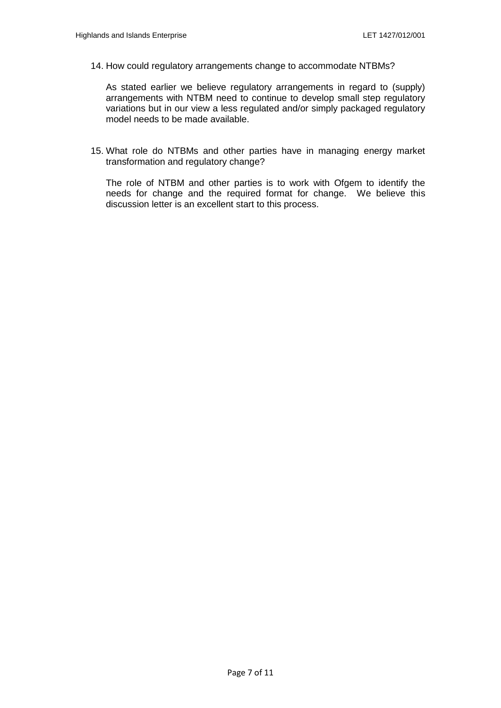14. How could regulatory arrangements change to accommodate NTBMs?

As stated earlier we believe regulatory arrangements in regard to (supply) arrangements with NTBM need to continue to develop small step regulatory variations but in our view a less regulated and/or simply packaged regulatory model needs to be made available.

15. What role do NTBMs and other parties have in managing energy market transformation and regulatory change?

The role of NTBM and other parties is to work with Ofgem to identify the needs for change and the required format for change. We believe this discussion letter is an excellent start to this process.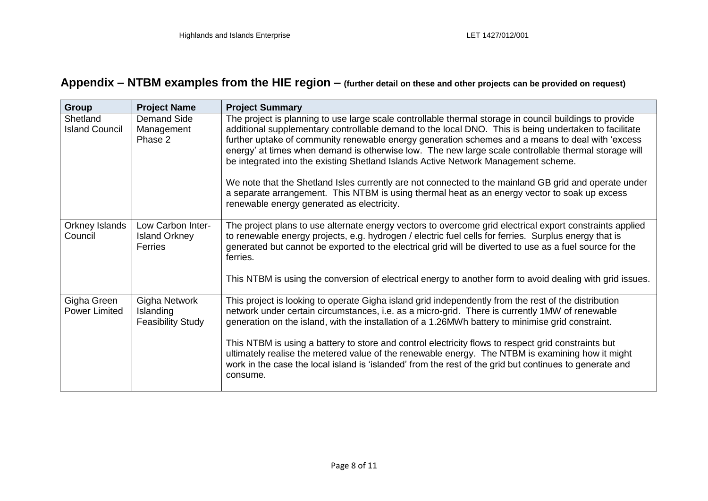# **Appendix – NTBM examples from the HIE region – (further detail on these and other projects can be provided on request)**

| <b>Group</b>                        | <b>Project Name</b>                                         | <b>Project Summary</b>                                                                                                                                                                                                                                                                                                                                                                                                                                                                                                                                                                                                                                                                                                                                                     |
|-------------------------------------|-------------------------------------------------------------|----------------------------------------------------------------------------------------------------------------------------------------------------------------------------------------------------------------------------------------------------------------------------------------------------------------------------------------------------------------------------------------------------------------------------------------------------------------------------------------------------------------------------------------------------------------------------------------------------------------------------------------------------------------------------------------------------------------------------------------------------------------------------|
| Shetland<br><b>Island Council</b>   | <b>Demand Side</b><br>Management<br>Phase 2                 | The project is planning to use large scale controllable thermal storage in council buildings to provide<br>additional supplementary controllable demand to the local DNO. This is being undertaken to facilitate<br>further uptake of community renewable energy generation schemes and a means to deal with 'excess<br>energy' at times when demand is otherwise low. The new large scale controllable thermal storage will<br>be integrated into the existing Shetland Islands Active Network Management scheme.<br>We note that the Shetland Isles currently are not connected to the mainland GB grid and operate under<br>a separate arrangement. This NTBM is using thermal heat as an energy vector to soak up excess<br>renewable energy generated as electricity. |
| Orkney Islands<br>Council           | Low Carbon Inter-<br><b>Island Orkney</b><br><b>Ferries</b> | The project plans to use alternate energy vectors to overcome grid electrical export constraints applied<br>to renewable energy projects, e.g. hydrogen / electric fuel cells for ferries. Surplus energy that is<br>generated but cannot be exported to the electrical grid will be diverted to use as a fuel source for the<br>ferries.<br>This NTBM is using the conversion of electrical energy to another form to avoid dealing with grid issues.                                                                                                                                                                                                                                                                                                                     |
| Gigha Green<br><b>Power Limited</b> | Gigha Network<br>Islanding<br><b>Feasibility Study</b>      | This project is looking to operate Gigha island grid independently from the rest of the distribution<br>network under certain circumstances, i.e. as a micro-grid. There is currently 1MW of renewable<br>generation on the island, with the installation of a 1.26MWh battery to minimise grid constraint.<br>This NTBM is using a battery to store and control electricity flows to respect grid constraints but<br>ultimately realise the metered value of the renewable energy. The NTBM is examining how it might<br>work in the case the local island is 'islanded' from the rest of the grid but continues to generate and<br>consume.                                                                                                                              |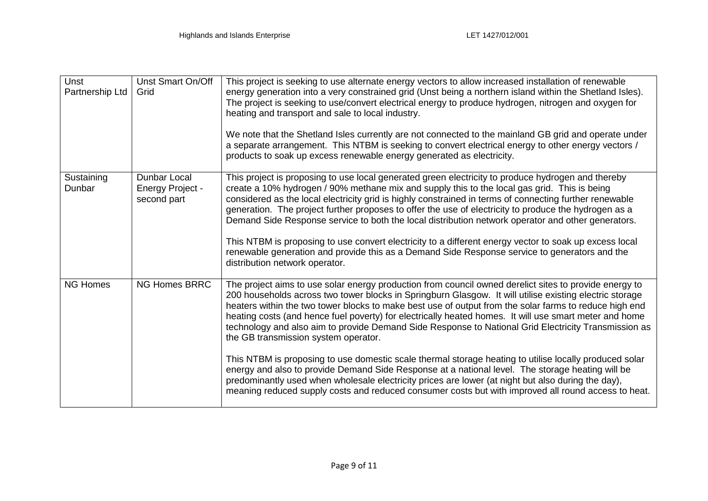| Unst<br>Partnership Ltd | Unst Smart On/Off<br>Grid                              | This project is seeking to use alternate energy vectors to allow increased installation of renewable<br>energy generation into a very constrained grid (Unst being a northern island within the Shetland Isles).<br>The project is seeking to use/convert electrical energy to produce hydrogen, nitrogen and oxygen for<br>heating and transport and sale to local industry.<br>We note that the Shetland Isles currently are not connected to the mainland GB grid and operate under<br>a separate arrangement. This NTBM is seeking to convert electrical energy to other energy vectors /                                                                                                                                                                             |
|-------------------------|--------------------------------------------------------|---------------------------------------------------------------------------------------------------------------------------------------------------------------------------------------------------------------------------------------------------------------------------------------------------------------------------------------------------------------------------------------------------------------------------------------------------------------------------------------------------------------------------------------------------------------------------------------------------------------------------------------------------------------------------------------------------------------------------------------------------------------------------|
|                         |                                                        | products to soak up excess renewable energy generated as electricity.                                                                                                                                                                                                                                                                                                                                                                                                                                                                                                                                                                                                                                                                                                     |
| Sustaining<br>Dunbar    | Dunbar Local<br><b>Energy Project -</b><br>second part | This project is proposing to use local generated green electricity to produce hydrogen and thereby<br>create a 10% hydrogen / 90% methane mix and supply this to the local gas grid. This is being<br>considered as the local electricity grid is highly constrained in terms of connecting further renewable<br>generation. The project further proposes to offer the use of electricity to produce the hydrogen as a<br>Demand Side Response service to both the local distribution network operator and other generators.<br>This NTBM is proposing to use convert electricity to a different energy vector to soak up excess local<br>renewable generation and provide this as a Demand Side Response service to generators and the<br>distribution network operator. |
| <b>NG Homes</b>         | <b>NG Homes BRRC</b>                                   | The project aims to use solar energy production from council owned derelict sites to provide energy to<br>200 households across two tower blocks in Springburn Glasgow. It will utilise existing electric storage<br>heaters within the two tower blocks to make best use of output from the solar farms to reduce high end<br>heating costs (and hence fuel poverty) for electrically heated homes. It will use smart meter and home<br>technology and also aim to provide Demand Side Response to National Grid Electricity Transmission as<br>the GB transmission system operator.                                                                                                                                                                                     |
|                         |                                                        | This NTBM is proposing to use domestic scale thermal storage heating to utilise locally produced solar<br>energy and also to provide Demand Side Response at a national level. The storage heating will be<br>predominantly used when wholesale electricity prices are lower (at night but also during the day),<br>meaning reduced supply costs and reduced consumer costs but with improved all round access to heat.                                                                                                                                                                                                                                                                                                                                                   |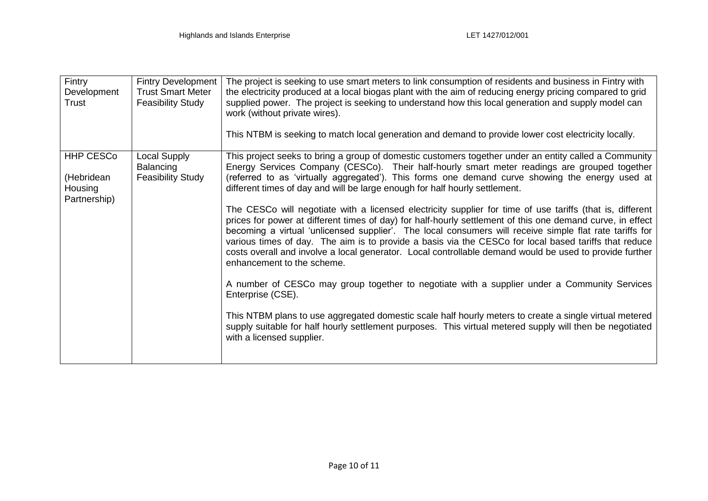| Fintry<br>Development<br>Trust                            | <b>Fintry Development</b><br><b>Trust Smart Meter</b><br><b>Feasibility Study</b> | The project is seeking to use smart meters to link consumption of residents and business in Fintry with<br>the electricity produced at a local biogas plant with the aim of reducing energy pricing compared to grid<br>supplied power. The project is seeking to understand how this local generation and supply model can<br>work (without private wires).<br>This NTBM is seeking to match local generation and demand to provide lower cost electricity locally.                                                                                                                                                                                                                                                                                                                                                                                                                                                                                                                                                                                                                                                                                                                                                                                                                                                                                    |
|-----------------------------------------------------------|-----------------------------------------------------------------------------------|---------------------------------------------------------------------------------------------------------------------------------------------------------------------------------------------------------------------------------------------------------------------------------------------------------------------------------------------------------------------------------------------------------------------------------------------------------------------------------------------------------------------------------------------------------------------------------------------------------------------------------------------------------------------------------------------------------------------------------------------------------------------------------------------------------------------------------------------------------------------------------------------------------------------------------------------------------------------------------------------------------------------------------------------------------------------------------------------------------------------------------------------------------------------------------------------------------------------------------------------------------------------------------------------------------------------------------------------------------|
| <b>HHP CESCo</b><br>(Hebridean<br>Housing<br>Partnership) | <b>Local Supply</b><br><b>Balancing</b><br><b>Feasibility Study</b>               | This project seeks to bring a group of domestic customers together under an entity called a Community<br>Energy Services Company (CESCo). Their half-hourly smart meter readings are grouped together<br>(referred to as 'virtually aggregated'). This forms one demand curve showing the energy used at<br>different times of day and will be large enough for half hourly settlement.<br>The CESCo will negotiate with a licensed electricity supplier for time of use tariffs (that is, different<br>prices for power at different times of day) for half-hourly settlement of this one demand curve, in effect<br>becoming a virtual 'unlicensed supplier'. The local consumers will receive simple flat rate tariffs for<br>various times of day. The aim is to provide a basis via the CESCo for local based tariffs that reduce<br>costs overall and involve a local generator. Local controllable demand would be used to provide further<br>enhancement to the scheme.<br>A number of CESCo may group together to negotiate with a supplier under a Community Services<br>Enterprise (CSE).<br>This NTBM plans to use aggregated domestic scale half hourly meters to create a single virtual metered<br>supply suitable for half hourly settlement purposes. This virtual metered supply will then be negotiated<br>with a licensed supplier. |